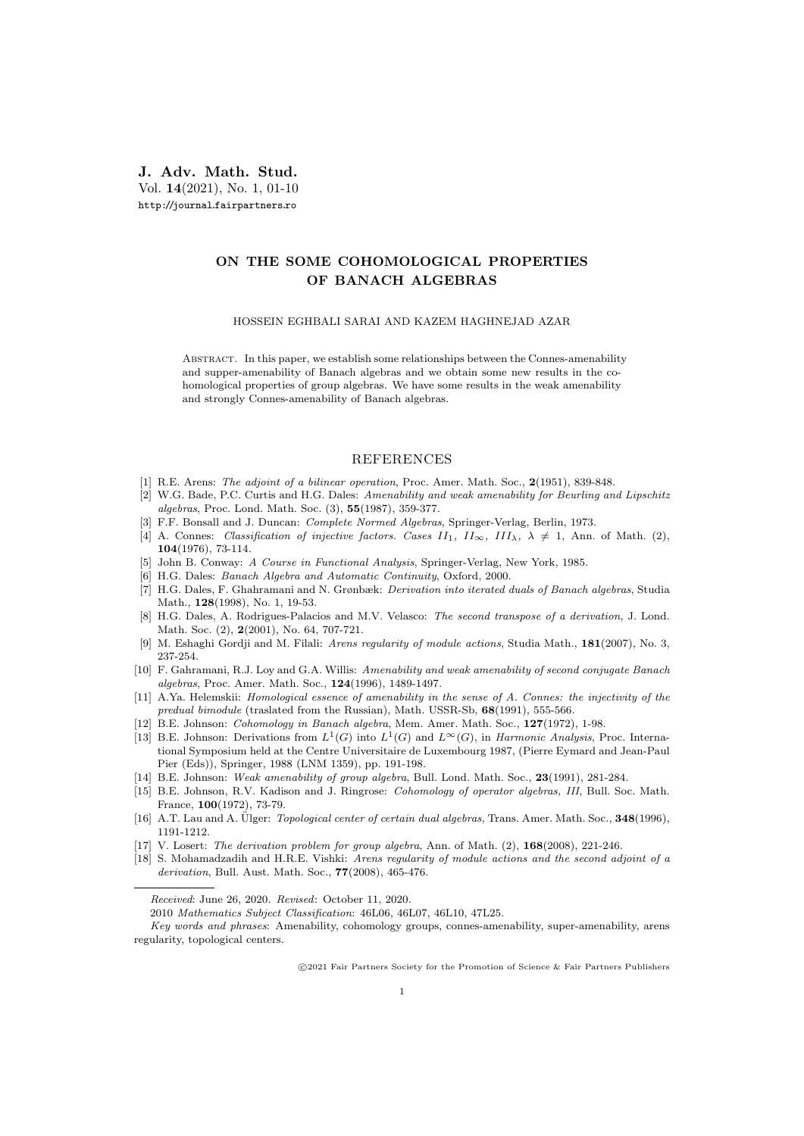## J. Adv. Math. Stud. Vol. 14(2021), No. 1, 01-10 http://journal.fairpartners.ro

## ON THE SOME COHOMOLOGICAL PROPERTIES OF BANACH ALGEBRAS

## HOSSEIN EGHBALI SARAI AND KAZEM HAGHNEJAD AZAR

Abstract. In this paper, we establish some relationships between the Connes-amenability and supper-amenability of Banach algebras and we obtain some new results in the cohomological properties of group algebras. We have some results in the weak amenability and strongly Connes-amenability of Banach algebras.

## REFERENCES

- [1] R.E. Arens: The adjoint of a bilinear operation, Proc. Amer. Math. Soc., 2(1951), 839-848.
- [2] W.G. Bade, P.C. Curtis and H.G. Dales: Amenability and weak amenability for Beurling and Lipschitz algebras, Proc. Lond. Math. Soc. (3), 55(1987), 359-377.
- [3] F.F. Bonsall and J. Duncan: Complete Normed Algebras, Springer-Verlag, Berlin, 1973.
- [4] A. Connes: Classification of injective factors. Cases II<sub>1</sub>, II<sub>2</sub>, III<sub> $\lambda$ </sub>,  $\lambda \neq 1$ , Ann. of Math. (2), 104(1976), 73-114.
- [5] John B. Conway: A Course in Functional Analysis, Springer-Verlag, New York, 1985.
- [6] H.G. Dales: Banach Algebra and Automatic Continuity, Oxford, 2000.
- [7] H.G. Dales, F. Ghahramani and N. Grønbæk: Derivation into iterated duals of Banach algebras, Studia Math., 128(1998), No. 1, 19-53.
- [8] H.G. Dales, A. Rodrigues-Palacios and M.V. Velasco: The second transpose of a derivation, J. Lond. Math. Soc. (2), 2(2001), No. 64, 707-721.
- [9] M. Eshaghi Gordji and M. Filali: Arens regularity of module actions, Studia Math., 181(2007), No. 3, 237-254.
- [10] F. Gahramani, R.J. Loy and G.A. Willis: Amenability and weak amenability of second conjugate Banach algebras, Proc. Amer. Math. Soc., 124(1996), 1489-1497.
- [11] A.Ya. Helemskii: *Homological essence of amenability in the sense of A. Connes: the injectivity of the* predual bimodule (traslated from the Russian), Math. USSR-Sb, 68(1991), 555-566.
- [12] B.E. Johnson: Cohomology in Banach algebra, Mem. Amer. Math. Soc., 127(1972), 1-98.
- [13] B.E. Johnson: Derivations from  $L^1(G)$  into  $L^1(G)$  and  $L^{\infty}(G)$ , in *Harmonic Analysis*, Proc. International Symposium held at the Centre Universitaire de Luxembourg 1987, (Pierre Eymard and Jean-Paul Pier (Eds)), Springer, 1988 (LNM 1359), pp. 191-198.
- [14] B.E. Johnson: Weak amenability of group algebra, Bull. Lond. Math. Soc., 23(1991), 281-284.
- [15] B.E. Johnson, R.V. Kadison and J. Ringrose: Cohomology of operator algebras, III, Bull. Soc. Math. France, 100(1972), 73-79.
- [16] A.T. Lau and A. Ülger: *Topological center of certain dual algebras*, Trans. Amer. Math. Soc., 348(1996), 1191-1212.
- [17] V. Losert: The derivation problem for group algebra, Ann. of Math. (2), 168(2008), 221-246.
- [18] S. Mohamadzadih and H.R.E. Vishki: Arens regularity of module actions and the second adjoint of a derivation, Bull. Aust. Math. Soc., 77(2008), 465-476.

2010 Mathematics Subject Classification: 46L06, 46L07, 46L10, 47L25.

c 2021 Fair Partners Society for the Promotion of Science & Fair Partners Publishers

Received: June 26, 2020. Revised: October 11, 2020.

Key words and phrases: Amenability, cohomology groups, connes-amenability, super-amenability, arens regularity, topological centers.